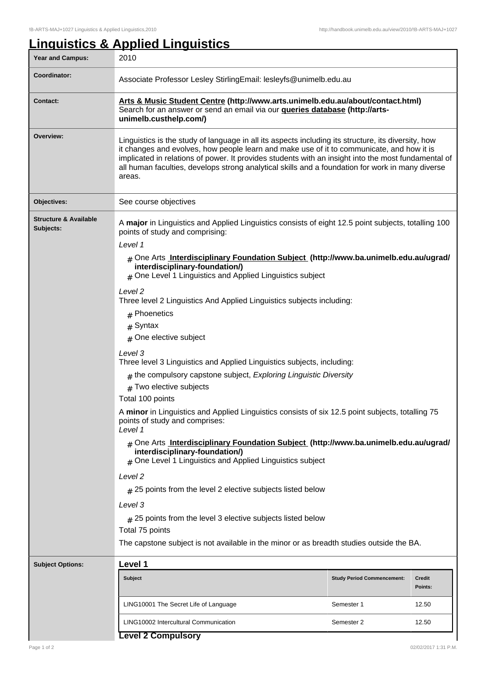## **Linguistics & Applied Linguistics** Year and Campus: 2010 **Coordinator:** Associate Professor Lesley StirlingEmail: lesleyfs@unimelb.edu.au **Contact: Arts & Music Student Centre (http://www.arts.unimelb.edu.au/about/contact.html)** Search for an answer or send an email via our **queries database (http://artsunimelb.custhelp.com/) Overview:** Linguistics is the study of language in all its aspects including its structure, its diversity, how it changes and evolves, how people learn and make use of it to communicate, and how it is implicated in relations of power. It provides students with an insight into the most fundamental of all human faculties, develops strong analytical skills and a foundation for work in many diverse areas. **Objectives:** See course objectives **Structure & Available Subjects:** A **major** in Linguistics and Applied Linguistics consists of eight 12.5 point subjects, totalling 100 points of study and comprising: Level 1 # One Arts **Interdisciplinary Foundation Subject (http://www.ba.unimelb.edu.au/ugrad/ interdisciplinary-foundation/)**  $#$  One Level 1 Linguistics and Applied Linguistics subject Level 2 Three level 2 Linguistics And Applied Linguistics subjects including: # Phoenetics # Syntax # One elective subject Level 3 Three level 3 Linguistics and Applied Linguistics subjects, including:  ${}_{\#}$  the compulsory capstone subject, *Exploring Linguistic Diversity*  $#$  Two elective subjects Total 100 points A **minor** in Linguistics and Applied Linguistics consists of six 12.5 point subjects, totalling 75 points of study and comprises: Level 1 # One Arts **Interdisciplinary Foundation Subject (http://www.ba.unimelb.edu.au/ugrad/ interdisciplinary-foundation/)** # One Level 1 Linguistics and Applied Linguistics subiect Level 2  $_{\rm \#}$  25 points from the level 2 elective subjects listed below Level 3  $_{\#}$  25 points from the level 3 elective subjects listed below Total 75 points The capstone subject is not available in the minor or as breadth studies outside the BA. **Subject Options: Level 1 Subject Study Period Commencement: Credit Points:** LING10001 The Secret Life of Language Network Semester 1 12.50 LING10002 Intercultural Communication Network Semester 2 12.50

| <b>Options:</b> | Level 1                               |                                   |                          |  |
|-----------------|---------------------------------------|-----------------------------------|--------------------------|--|
|                 | <b>Subject</b>                        | <b>Study Period Commencement:</b> | <b>Credit</b><br>Points: |  |
|                 | LING10001 The Secret Life of Language | Semester 1                        | 12.50                    |  |
|                 | LING10002 Intercultural Communication | Semester 2                        | 12.50                    |  |
|                 | $\sim$ 1000 $\sim$ 1.                 |                                   |                          |  |

## **Level 2 Compulsory**